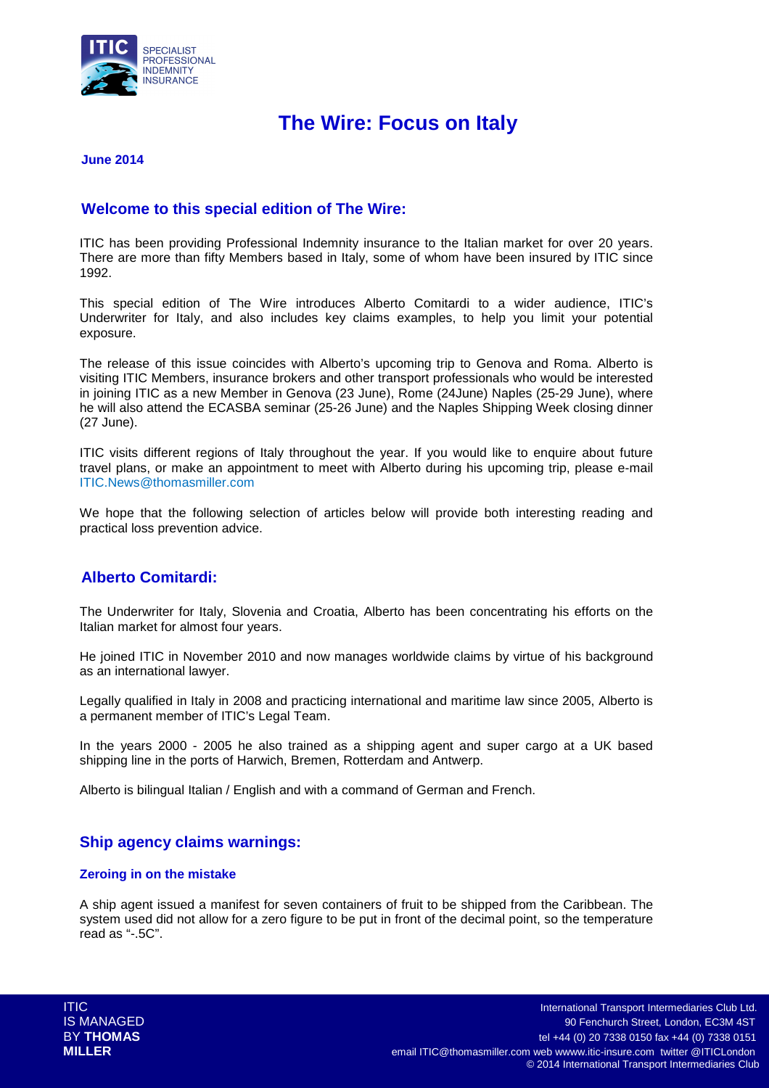

# **The Wire: Focus on Italy**

#### **June 2014**

### **Welcome to this special edition of The Wire:**

ITIC has been providing Professional Indemnity insurance to the Italian market for over 20 years. There are more than fifty Members based in Italy, some of whom have been insured by ITIC since 1992.

This special edition of The Wire introduces Alberto Comitardi to a wider audience, ITIC's Underwriter for Italy, and also includes key claims examples, to help you limit your potential exposure.

The release of this issue coincides with Alberto's upcoming trip to Genova and Roma. Alberto is visiting ITIC Members, insurance brokers and other transport professionals who would be interested in joining ITIC as a new Member in Genova (23 June), Rome (24June) Naples (25-29 June), where he will also attend the ECASBA seminar (25-26 June) and the Naples Shipping Week closing dinner (27 June).

ITIC visits different regions of Italy throughout the year. If you would like to enquire about future travel plans, or make an appointment to meet with Alberto during his upcoming trip, please e-mail ITIC.News@thomasmiller.com

We hope that the following selection of articles below will provide both interesting reading and practical loss prevention advice.

### **Alberto Comitardi:**

The Underwriter for Italy, Slovenia and Croatia, Alberto has been concentrating his efforts on the Italian market for almost four years.

He joined ITIC in November 2010 and now manages worldwide claims by virtue of his background as an international lawyer.

Legally qualified in Italy in 2008 and practicing international and maritime law since 2005, Alberto is a permanent member of ITIC's Legal Team.

In the years 2000 - 2005 he also trained as a shipping agent and super cargo at a UK based shipping line in the ports of Harwich, Bremen, Rotterdam and Antwerp.

Alberto is bilingual Italian / English and with a command of German and French.

### **Ship agency claims warnings:**

#### **Zeroing in on the mistake**

A ship agent issued a manifest for seven containers of fruit to be shipped from the Caribbean. The system used did not allow for a zero figure to be put in front of the decimal point, so the temperature read as "-.5C".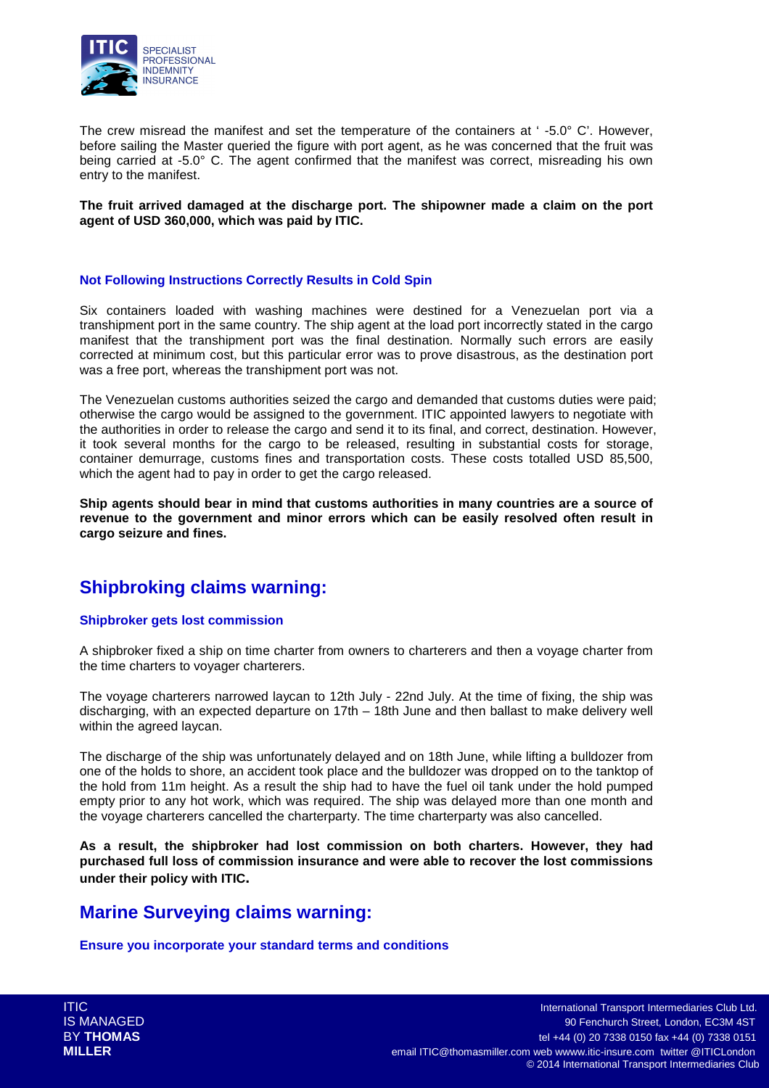

The crew misread the manifest and set the temperature of the containers at ' -5.0° C'. However, before sailing the Master queried the figure with port agent, as he was concerned that the fruit was being carried at -5.0° C. The agent confirmed that the manifest was correct, misreading his own entry to the manifest.

#### **The fruit arrived damaged at the discharge port. The shipowner made a claim on the port agent of USD 360,000, which was paid by ITIC.**

#### **Not Following Instructions Correctly Results in Cold Spin**

Six containers loaded with washing machines were destined for a Venezuelan port via a transhipment port in the same country. The ship agent at the load port incorrectly stated in the cargo manifest that the transhipment port was the final destination. Normally such errors are easily corrected at minimum cost, but this particular error was to prove disastrous, as the destination port was a free port, whereas the transhipment port was not.

The Venezuelan customs authorities seized the cargo and demanded that customs duties were paid; otherwise the cargo would be assigned to the government. ITIC appointed lawyers to negotiate with the authorities in order to release the cargo and send it to its final, and correct, destination. However, it took several months for the cargo to be released, resulting in substantial costs for storage, container demurrage, customs fines and transportation costs. These costs totalled USD 85,500, which the agent had to pay in order to get the cargo released.

**Ship agents should bear in mind that customs authorities in many countries are a source of revenue to the government and minor errors which can be easily resolved often result in cargo seizure and fines.** 

# **Shipbroking claims warning:**

#### **Shipbroker gets lost commission**

A shipbroker fixed a ship on time charter from owners to charterers and then a voyage charter from the time charters to voyager charterers.

The voyage charterers narrowed laycan to 12th July - 22nd July. At the time of fixing, the ship was discharging, with an expected departure on 17th – 18th June and then ballast to make delivery well within the agreed laycan.

The discharge of the ship was unfortunately delayed and on 18th June, while lifting a bulldozer from one of the holds to shore, an accident took place and the bulldozer was dropped on to the tanktop of the hold from 11m height. As a result the ship had to have the fuel oil tank under the hold pumped empty prior to any hot work, which was required. The ship was delayed more than one month and the voyage charterers cancelled the charterparty. The time charterparty was also cancelled.

**As a result, the shipbroker had lost commission on both charters. However, they had purchased full loss of commission insurance and were able to recover the lost commissions under their policy with ITIC.** 

# **Marine Surveying claims warning:**

**Ensure you incorporate your standard terms and conditions**